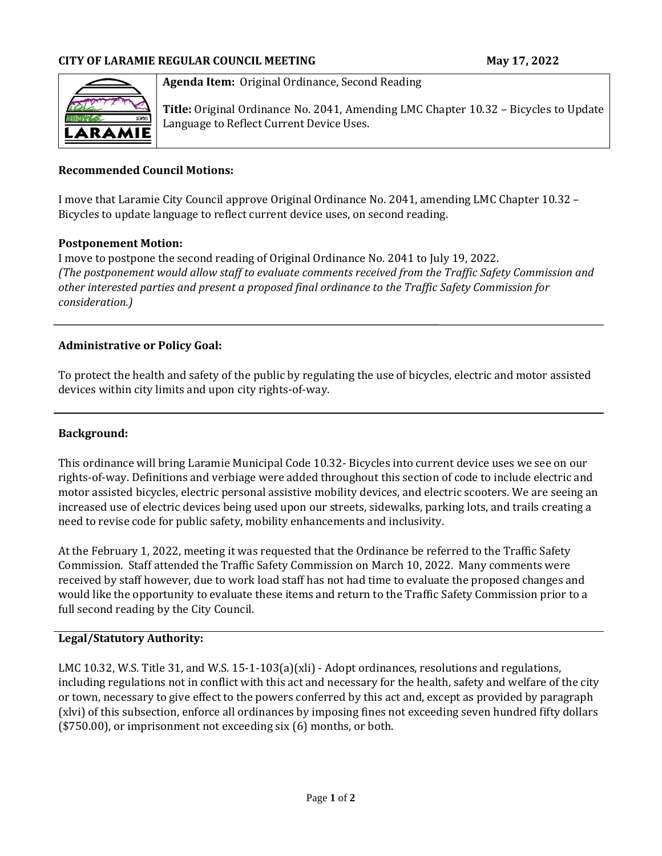

#### **Agenda Item:** Original Ordinance, Second Reading

**Title:** Original Ordinance No. 2041, Amending LMC Chapter 10.32 – Bicycles to Update Language to Reflect Current Device Uses.

### **Recommended Council Motions:**

I move that Laramie City Council approve Original Ordinance No. 2041, amending LMC Chapter 10.32 – Bicycles to update language to reflect current device uses, on second reading.

#### **Postponement Motion:**

I move to postpone the second reading of Original Ordinance No. 2041 to July 19, 2022. *(The postponement would allow staff to evaluate comments received from the Traffic Safety Commission and other interested parties and present a proposed final ordinance to the Traffic Safety Commission for consideration.)*

#### **Administrative or Policy Goal:**

To protect the health and safety of the public by regulating the use of bicycles, electric and motor assisted devices within city limits and upon city rights-of-way.

#### **Background:**

This ordinance will bring Laramie Municipal Code 10.32- Bicycles into current device uses we see on our rights-of-way. Definitions and verbiage were added throughout this section of code to include electric and motor assisted bicycles, electric personal assistive mobility devices, and electric scooters. We are seeing an increased use of electric devices being used upon our streets, sidewalks, parking lots, and trails creating a need to revise code for public safety, mobility enhancements and inclusivity.

At the February 1, 2022, meeting it was requested that the Ordinance be referred to the Traffic Safety Commission. Staff attended the Traffic Safety Commission on March 10, 2022. Many comments were received by staff however, due to work load staff has not had time to evaluate the proposed changes and would like the opportunity to evaluate these items and return to the Traffic Safety Commission prior to a full second reading by the City Council.

#### **Legal/Statutory Authority:**

LMC 10.32, W.S. Title 31, and W.S. 15-1-103(a)(xli) - Adopt ordinances, resolutions and regulations, including regulations not in conflict with this act and necessary for the health, safety and welfare of the city or town, necessary to give effect to the powers conferred by this act and, except as provided by paragraph (xlvi) of this subsection, enforce all ordinances by imposing fines not exceeding seven hundred fifty dollars (\$750.00), or imprisonment not exceeding six (6) months, or both.